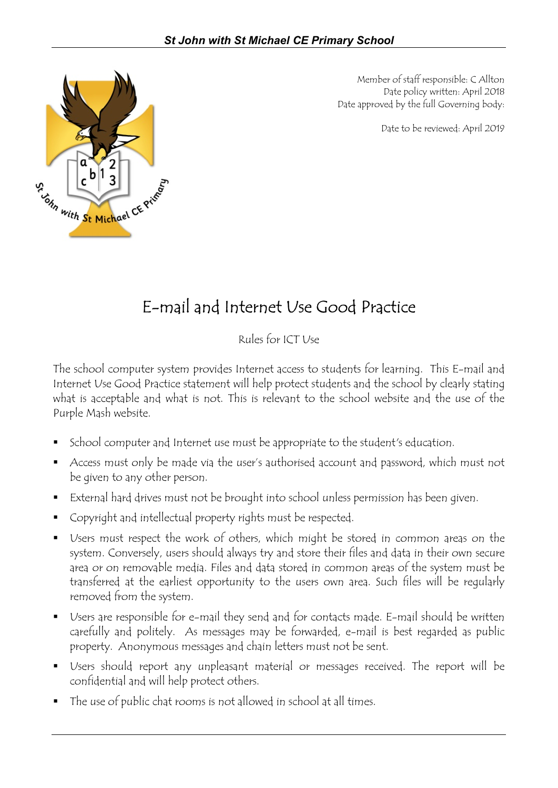

Member of staff responsible: C Allton Date policy written: April 2018 Date approved by the full Governing body:

Date to be reviewed: April 2019

## E-mail and Internet Use Good Practice

Rules for ICT Use

The school computer system provides Internet access to students for learning. This E-mail and Internet Use Good Practice statement will help protect students and the school by clearly stating what is acceptable and what is not. This is relevant to the school website and the use of the Purple Mash website.

- School computer and Internet use must be appropriate to the student's education.
- Access must only be made via the user's authorised account and password, which must not be given to any other person.
- External hard drives must not be brought into school unless permission has been given.
- Copyright and intellectual property rights must be respected.
- Users must respect the work of others, which might be stored in common areas on the system. Conversely, users should always try and store their files and data in their own secure area or on removable media. Files and data stored in common areas of the system must be transferred at the earliest opportunity to the users own area. Such files will be regularly removed from the system.
- Users are responsible for e-mail they send and for contacts made. E-mail should be written carefully and politely. As messages may be forwarded, e-mail is best regarded as public property. Anonymous messages and chain letters must not be sent.
- Users should report any unpleasant material or messages received. The report will be confidential and will help protect others.
- The use of public chat rooms is not allowed in school at all times.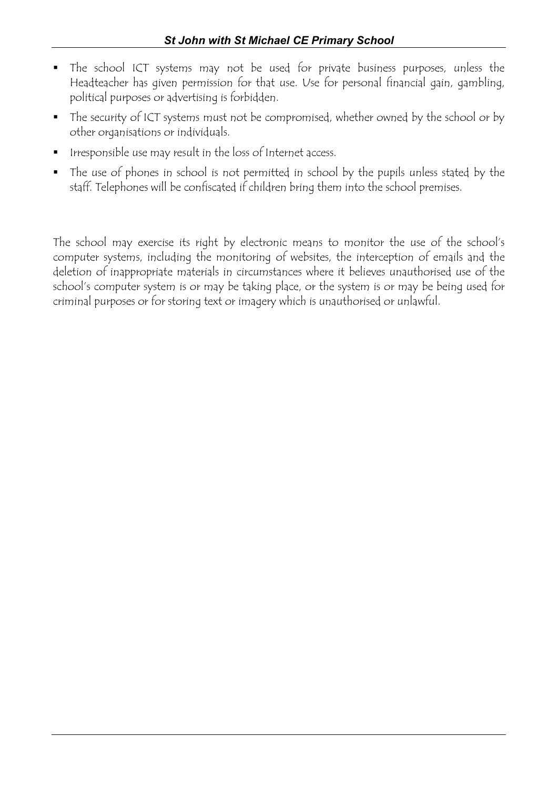- The school ICT systems may not be used for private business purposes, unless the Headteacher has given permission for that use. Use for personal financial gain, gambling, political purposes or advertising is forbidden.
- The security of ICT systems must not be compromised, whether owned by the school or by other organisations or individuals.
- Irresponsible use may result in the loss of Internet access.
- The use of phones in school is not permitted in school by the pupils unless stated by the staff. Telephones will be confiscated if children bring them into the school premises.

The school may exercise its right by electronic means to monitor the use of the school's computer systems, including the monitoring of websites, the interception of emails and the deletion of inappropriate materials in circumstances where it believes unauthorised use of the school's computer system is or may be taking place, or the system is or may be being used for criminal purposes or for storing text or imagery which is unauthorised or unlawful.